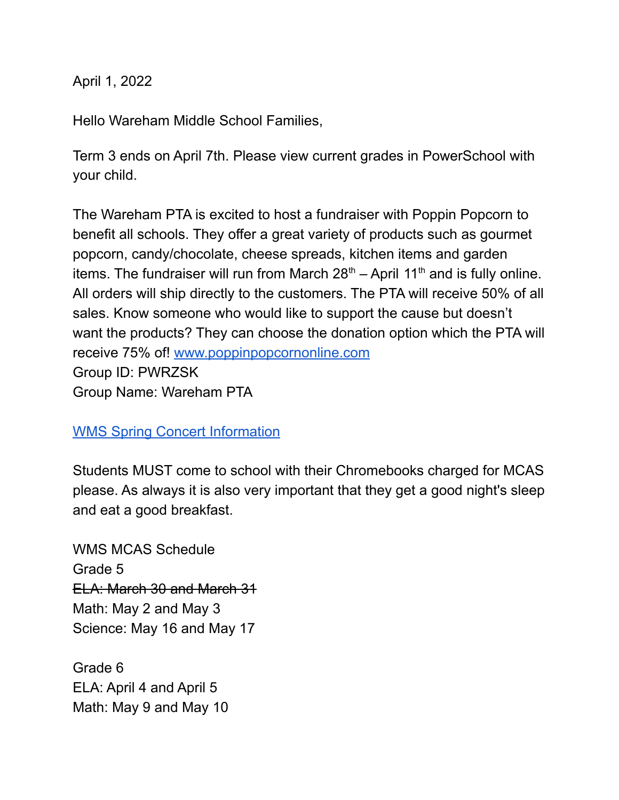April 1, 2022

Hello Wareham Middle School Families,

Term 3 ends on April 7th. Please view current grades in PowerSchool with your child.

The Wareham PTA is excited to host a fundraiser with Poppin Popcorn to benefit all schools. They offer a great variety of products such as gourmet popcorn, candy/chocolate, cheese spreads, kitchen items and garden items. The fundraiser will run from March  $28<sup>th</sup> -$  April 11<sup>th</sup> and is fully online. All orders will ship directly to the customers. The PTA will receive 50% of all sales. Know someone who would like to support the cause but doesn't want the products? They can choose the donation option which the PTA will receive 75% of! [www.poppinpopcornonline.com](http://www.poppinpopcornonline.com) Group ID: PWRZSK Group Name: Wareham PTA

## WMS Spring Concert [Information](https://drive.google.com/file/d/1OD8cwR1QTqEWno43Uhp1DQI5XqQiueZt/view?usp=sharing)

Students MUST come to school with their Chromebooks charged for MCAS please. As always it is also very important that they get a good night's sleep and eat a good breakfast.

WMS MCAS Schedule Grade 5 ELA: March 30 and March 31 Math: May 2 and May 3 Science: May 16 and May 17

Grade 6 ELA: April 4 and April 5 Math: May 9 and May 10